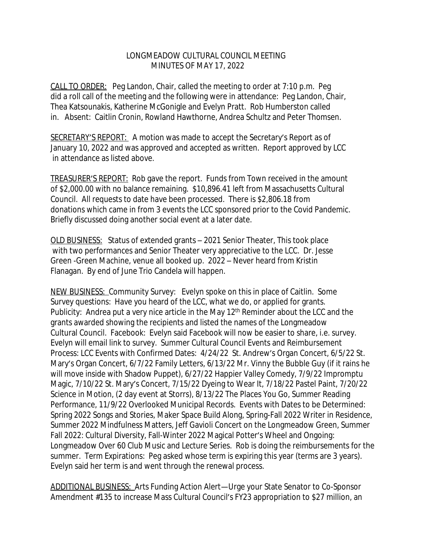## LONGMEADOW CULTURAL COUNCIL MEETING MINUTES OF MAY 17, 2022

CALL TO ORDER: Peg Landon, Chair, called the meeting to order at 7:10 p.m. Peg did a roll call of the meeting and the following were in attendance: Peg Landon, Chair, Thea Katsounakis, Katherine McGonigle and Evelyn Pratt. Rob Humberston called in. Absent: Caitlin Cronin, Rowland Hawthorne, Andrea Schultz and Peter Thomsen.

SECRETARY'S REPORT: A motion was made to accept the Secretary's Report as of January 10, 2022 and was approved and accepted as written. Report approved by LCC in attendance as listed above.

TREASURER'S REPORT: Rob gave the report. Funds from Town received in the amount of \$2,000.00 with no balance remaining. \$10,896.41 left from Massachusetts Cultural Council. All requests to date have been processed. There is \$2,806.18 from donations which came in from 3 events the LCC sponsored prior to the Covid Pandemic. Briefly discussed doing another social event at a later date.

OLD BUSINESS: Status of extended grants – 2021 Senior Theater, This took place with two performances and Senior Theater very appreciative to the LCC. Dr. Jesse Green -Green Machine, venue all booked up. 2022 – Never heard from Kristin Flanagan. By end of June Trio Candela will happen.

NEW BUSINESS: Community Survey: Evelyn spoke on this in place of Caitlin. Some Survey questions: Have you heard of the LCC, what we do, or applied for grants. Publicity: Andrea put a very nice article in the May 12<sup>th</sup> Reminder about the LCC and the grants awarded showing the recipients and listed the names of the Longmeadow Cultural Council. Facebook: Evelyn said Facebook will now be easier to share, i.e. survey. Evelyn will email link to survey. Summer Cultural Council Events and Reimbursement Process: LCC Events with Confirmed Dates: 4/24/22 St. Andrew's Organ Concert, 6/5/22 St. Mary's Organ Concert, 6/7/22 Family Letters, 6/13/22 Mr. Vinny the Bubble Guy (if it rains he will move inside with Shadow Puppet), 6/27/22 Happier Valley Comedy, 7/9/22 Impromptu Magic, 7/10/22 St. Mary's Concert, 7/15/22 Dyeing to Wear It, 7/18/22 Pastel Paint, 7/20/22 Science in Motion, (2 day event at Storrs), 8/13/22 The Places You Go, Summer Reading Performance, 11/9/22 Overlooked Municipal Records. Events with Dates to be Determined: Spring 2022 Songs and Stories, Maker Space Build Along, Spring-Fall 2022 Writer in Residence, Summer 2022 Mindfulness Matters, Jeff Gavioli Concert on the Longmeadow Green, Summer Fall 2022: Cultural Diversity, Fall-Winter 2022 Magical Potter's Wheel and Ongoing: Longmeadow Over 60 Club Music and Lecture Series. Rob is doing the reimbursements for the summer. Term Expirations: Peg asked whose term is expiring this year (terms are 3 years). Evelyn said her term is and went through the renewal process.

ADDITIONAL BUSINESS: Arts Funding Action Alert—Urge your State Senator to Co-Sponsor Amendment #135 to increase Mass Cultural Council's FY23 appropriation to \$27 million, an